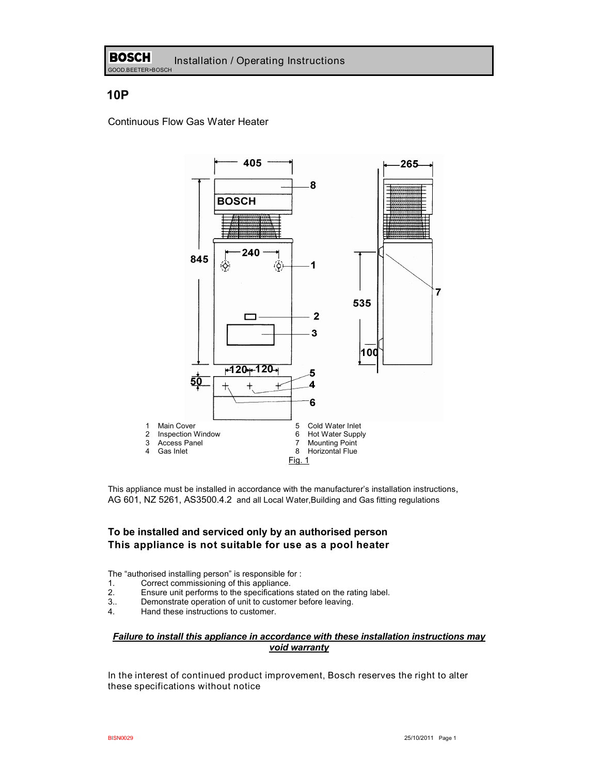# **10P**

Continuous Flow Gas Water Heater



This appliance must be installed in accordance with the manufacturer's installation instructions, AG 601, NZ 5261, AS3500.4.2 and all Local Water,Building and Gas fitting regulations

### **To be installed and serviced only by an authorised person This appliance is not suitable for use as a pool heater**

The "authorised installing person" is responsible for :

- 1. Correct commissioning of this appliance.
- 2. Ensure unit performs to the specifications stated on the rating label.<br>3. Demonstrate operation of unit to customer before leaving.
- 3.. Demonstrate operation of unit to customer before leaving.
- Hand these instructions to customer.

### *Failure to install this appliance in accordance with these installation instructions may void warranty*

In the interest of continued product improvement, Bosch reserves the right to alter these specifications without notice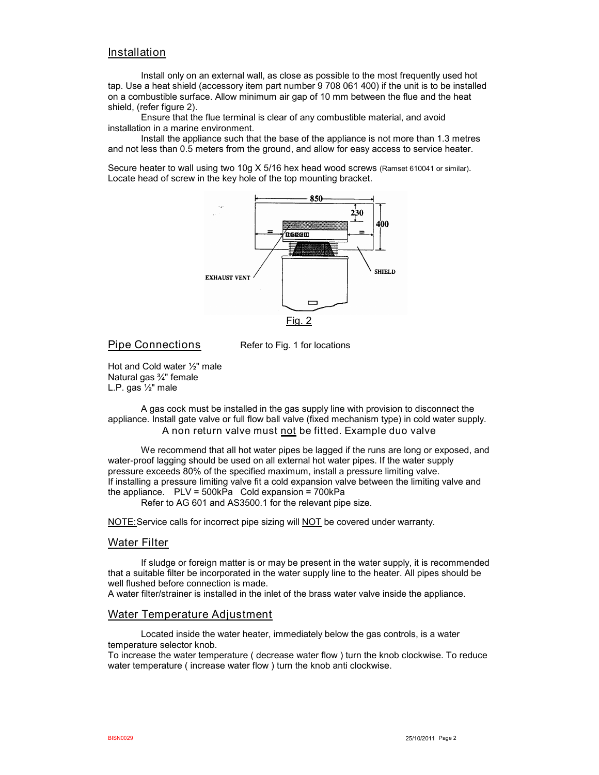### Installation

Install only on an external wall, as close as possible to the most frequently used hot tap. Use a heat shield (accessory item part number 9 708 061 400) if the unit is to be installed on a combustible surface. Allow minimum air gap of 10 mm between the flue and the heat shield, (refer figure 2).

Ensure that the flue terminal is clear of any combustible material, and avoid installation in a marine environment.

Install the appliance such that the base of the appliance is not more than 1.3 metres and not less than 0.5 meters from the ground, and allow for easy access to service heater.

Secure heater to wall using two 10g X 5/16 hex head wood screws (Ramset 610041 or similar). Locate head of screw in the key hole of the top mounting bracket.



Pipe Connections Refer to Fig. 1 for locations

Hot and Cold water ½" male Natural gas ¾" female L.P. gas ½" male

A gas cock must be installed in the gas supply line with provision to disconnect the appliance. Install gate valve or full flow ball valve (fixed mechanism type) in cold water supply. A non return valve must not be fitted. Example duo valve

We recommend that all hot water pipes be lagged if the runs are long or exposed, and water-proof lagging should be used on all external hot water pipes. If the water supply pressure exceeds 80% of the specified maximum, install a pressure limiting valve. If installing a pressure limiting valve fit a cold expansion valve between the limiting valve and the appliance.  $PLV = 500kPa$  Cold expansion = 700kPa Refer to AG 601 and AS3500.1 for the relevant pipe size.

NOTE: Service calls for incorrect pipe sizing will NOT be covered under warranty.

### Water Filter

If sludge or foreign matter is or may be present in the water supply, it is recommended that a suitable filter be incorporated in the water supply line to the heater. All pipes should be well flushed before connection is made.

A water filter/strainer is installed in the inlet of the brass water valve inside the appliance.

### Water Temperature Adjustment

Located inside the water heater, immediately below the gas controls, is a water temperature selector knob.

To increase the water temperature ( decrease water flow ) turn the knob clockwise. To reduce water temperature ( increase water flow ) turn the knob anti clockwise.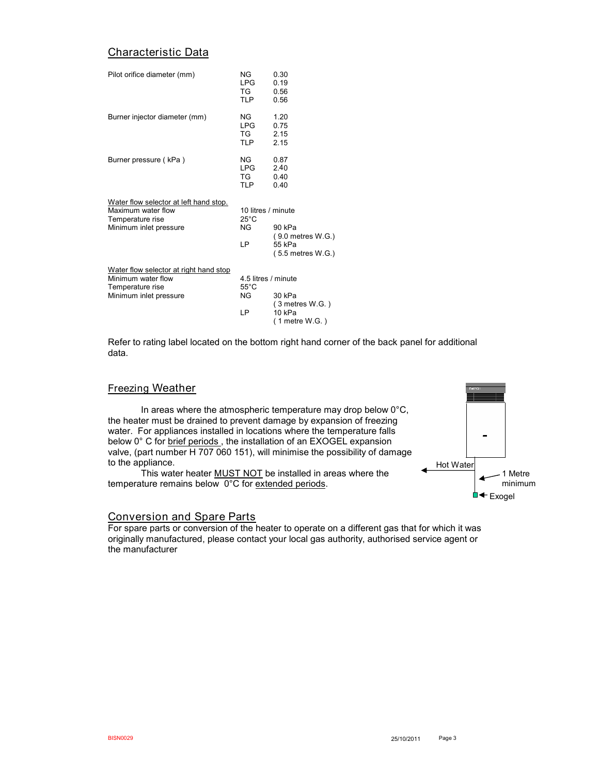# Characteristic Data

| Pilot orifice diameter (mm)                                                                                | NG.<br><b>LPG</b><br>TG<br><b>TLP</b>              | 0.30<br>0.19<br>0.56<br>0.56                                       |
|------------------------------------------------------------------------------------------------------------|----------------------------------------------------|--------------------------------------------------------------------|
| Burner injector diameter (mm)                                                                              | NG.<br>I PG.<br>TG<br><b>TLP</b>                   | 1.20<br>0.75<br>2.15<br>2.15                                       |
| Burner pressure (kPa)                                                                                      | NG.<br>I PG.<br>TG.<br><b>TLP</b>                  | 0.87<br>2.40<br>0.40<br>0.40                                       |
| Water flow selector at left hand stop.<br>Maximum water flow<br>Temperature rise<br>Minimum inlet pressure | 10 litres / minute<br>$25^{\circ}$ C<br>NG<br>IP.  | 90 kPa<br>$(9.0$ metres $W.G.)$<br>55 kPa<br>$(5.5$ metres $W.G.)$ |
| Water flow selector at right hand stop<br>Minimum water flow<br>Temperature rise<br>Minimum inlet pressure | 4.5 litres / minute<br>$55^{\circ}$ C<br>NG<br>I P | 30 kPa<br>$(3$ metres W.G.)<br>10kPa<br>$(1$ metre W.G.)           |

Refer to rating label located on the bottom right hand corner of the back panel for additional data.

### Freezing Weather

In areas where the atmospheric temperature may drop below  $0^{\circ}$ C, the heater must be drained to prevent damage by expansion of freezing water. For appliances installed in locations where the temperature falls below 0° C for brief periods, the installation of an EXOGEL expansion valve, (part number H 707 060 151), will minimise the possibility of damage to the appliance.

This water heater **MUST NOT** be installed in areas where the temperature remains below 0°C for extended periods.



### Conversion and Spare Parts

For spare parts or conversion of the heater to operate on a different gas that for which it was originally manufactured, please contact your local gas authority, authorised service agent or the manufacturer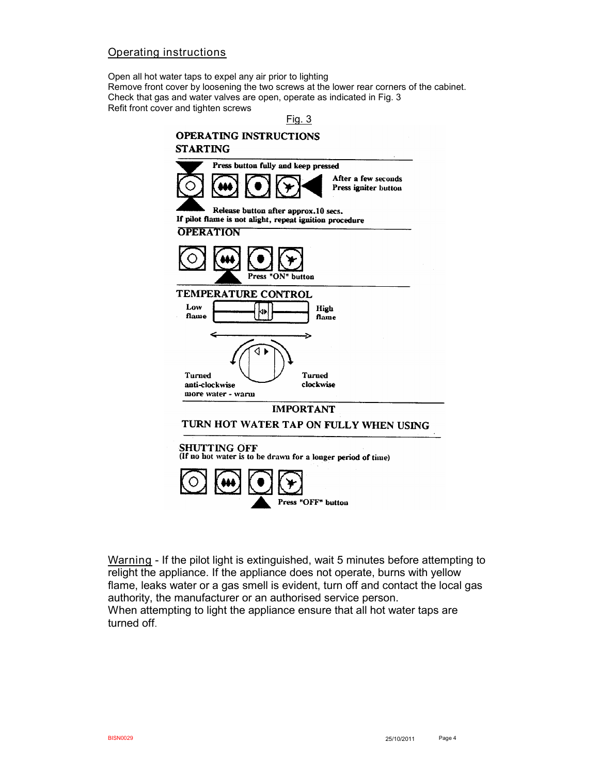# Operating instructions

Open all hot water taps to expel any air prior to lighting Remove front cover by loosening the two screws at the lower rear corners of the cabinet. Check that gas and water valves are open, operate as indicated in Fig. 3 Refit front cover and tighten screws





Warning - If the pilot light is extinguished, wait 5 minutes before attempting to relight the appliance. If the appliance does not operate, burns with yellow flame, leaks water or a gas smell is evident, turn off and contact the local gas authority, the manufacturer or an authorised service person. When attempting to light the appliance ensure that all hot water taps are turned off.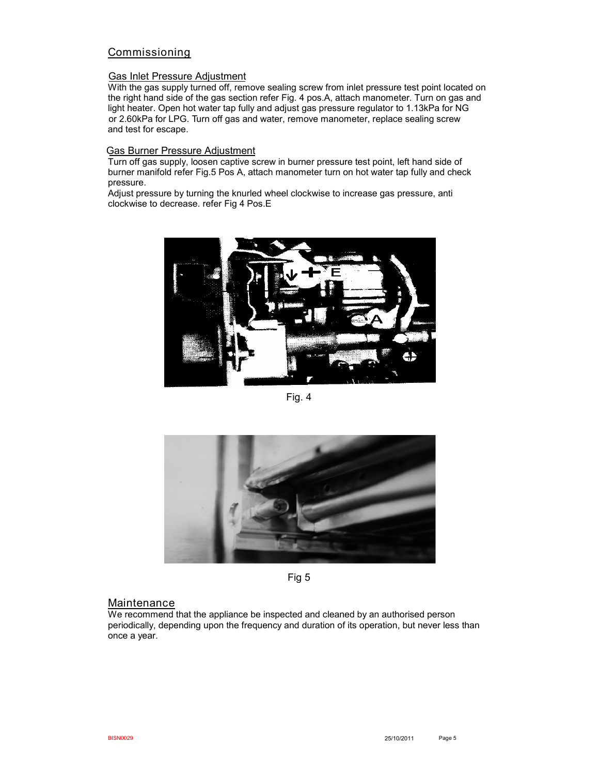# Commissioning

### Gas Inlet Pressure Adjustment

With the gas supply turned off, remove sealing screw from inlet pressure test point located on the right hand side of the gas section refer Fig. 4 pos.A, attach manometer. Turn on gas and light heater. Open hot water tap fully and adjust gas pressure regulator to 1.13kPa for NG or 2.60kPa for LPG. Turn off gas and water, remove manometer, replace sealing screw and test for escape.

### Gas Burner Pressure Adjustment

Turn off gas supply, loosen captive screw in burner pressure test point, left hand side of burner manifold refer Fig.5 Pos A, attach manometer turn on hot water tap fully and check pressure.

Adjust pressure by turning the knurled wheel clockwise to increase gas pressure, anti clockwise to decrease. refer Fig 4 Pos.E



Fig. 4



Fig 5

### **Maintenance**

We recommend that the appliance be inspected and cleaned by an authorised person periodically, depending upon the frequency and duration of its operation, but never less than once a year.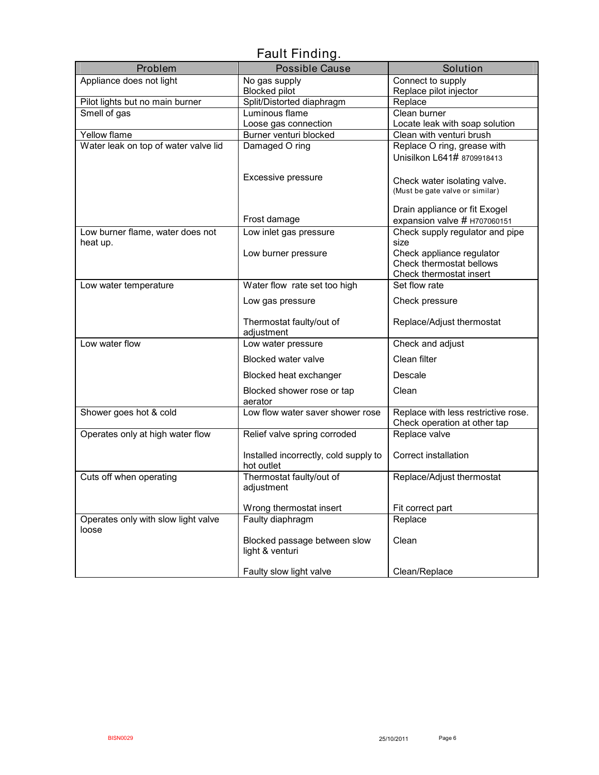# Fault Finding.

| Problem                              | <b>Possible Cause</b>                          | Solution                                                        |  |  |
|--------------------------------------|------------------------------------------------|-----------------------------------------------------------------|--|--|
| Appliance does not light             | No gas supply                                  | Connect to supply                                               |  |  |
|                                      | <b>Blocked pilot</b>                           | Replace pilot injector                                          |  |  |
| Pilot lights but no main burner      | Split/Distorted diaphragm                      | Replace                                                         |  |  |
| Smell of gas                         | Luminous flame                                 | Clean burner                                                    |  |  |
| Yellow flame                         | Loose gas connection<br>Burner venturi blocked | Locate leak with soap solution<br>Clean with venturi brush      |  |  |
| Water leak on top of water valve lid | Damaged O ring                                 | Replace O ring, grease with                                     |  |  |
|                                      |                                                | Unisilkon L641# 8709918413                                      |  |  |
|                                      |                                                |                                                                 |  |  |
|                                      | Excessive pressure                             | Check water isolating valve.                                    |  |  |
|                                      |                                                | (Must be gate valve or similar)                                 |  |  |
|                                      |                                                |                                                                 |  |  |
|                                      | Frost damage                                   | Drain appliance or fit Exogel                                   |  |  |
| Low burner flame, water does not     | Low inlet gas pressure                         | expansion valve # H707060151<br>Check supply regulator and pipe |  |  |
| heat up.                             |                                                | size                                                            |  |  |
|                                      | Low burner pressure                            | Check appliance regulator                                       |  |  |
|                                      |                                                | Check thermostat bellows                                        |  |  |
|                                      |                                                | Check thermostat insert                                         |  |  |
| Low water temperature                | Water flow rate set too high                   | Set flow rate                                                   |  |  |
|                                      | Low gas pressure                               | Check pressure                                                  |  |  |
|                                      | Thermostat faulty/out of                       | Replace/Adjust thermostat                                       |  |  |
|                                      | adjustment                                     |                                                                 |  |  |
| Low water flow                       | Low water pressure                             | Check and adjust                                                |  |  |
|                                      | <b>Blocked water valve</b>                     | Clean filter                                                    |  |  |
|                                      | Blocked heat exchanger                         | Descale                                                         |  |  |
|                                      | Blocked shower rose or tap                     | Clean                                                           |  |  |
|                                      | aerator<br>Low flow water saver shower rose    | Replace with less restrictive rose.                             |  |  |
| Shower goes hot & cold               |                                                | Check operation at other tap                                    |  |  |
| Operates only at high water flow     | Relief valve spring corroded                   | Replace valve                                                   |  |  |
|                                      |                                                |                                                                 |  |  |
|                                      | Installed incorrectly, cold supply to          | Correct installation                                            |  |  |
|                                      | hot outlet                                     |                                                                 |  |  |
| Cuts off when operating              | Thermostat faulty/out of                       | Replace/Adjust thermostat                                       |  |  |
|                                      | adjustment                                     |                                                                 |  |  |
|                                      | Wrong thermostat insert                        | Fit correct part                                                |  |  |
| Operates only with slow light valve  | Faulty diaphragm                               | Replace                                                         |  |  |
| loose                                |                                                |                                                                 |  |  |
|                                      | Blocked passage between slow                   | Clean                                                           |  |  |
|                                      | light & venturi                                |                                                                 |  |  |
|                                      |                                                |                                                                 |  |  |
|                                      | Faulty slow light valve                        | Clean/Replace                                                   |  |  |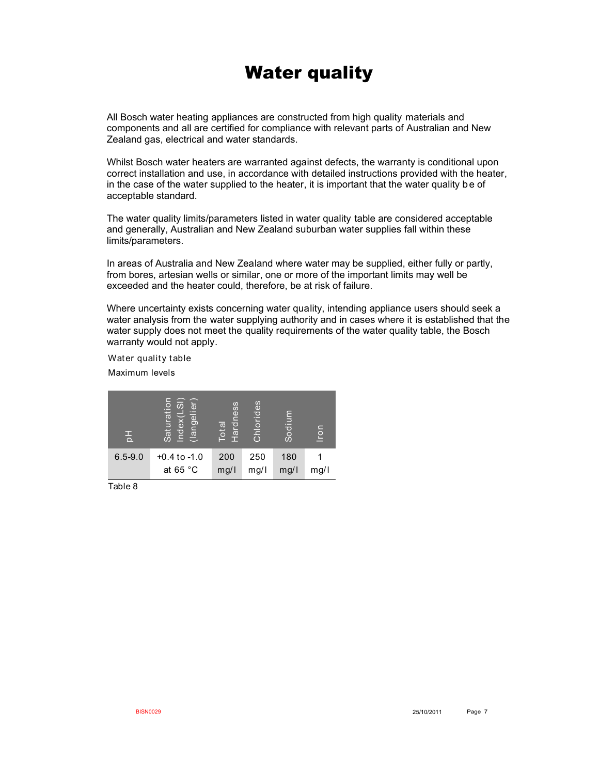# Water quality

All Bosch water heating appliances are constructed from high quality materials and components and all are certified for compliance with relevant parts of Australian and New Zealand gas, electrical and water standards.

Whilst Bosch water heaters are warranted against defects, the warranty is conditional upon correct installation and use, in accordance with detailed instructions provided with the heater, in the case of the water supplied to the heater, it is important that the water quality be of acceptable standard.

The water quality limits/parameters listed in water quality table are considered acceptable and generally, Australian and New Zealand suburban water supplies fall within these limits/parameters.

In areas of Australia and New Zealand where water may be supplied, either fully or partly, from bores, artesian wells or similar, one or more of the important limits may well be exceeded and the heater could, therefore, be at risk of failure.

Where uncertainty exists concerning water quality, intending appliance users should seek a water analysis from the water supplying authority and in cases where it is established that the water supply does not meet the quality requirements of the water quality table, the Bosch warranty would not apply.

Water quality table

Maximum levels

| 苦           | <u>ග</u><br>gelier<br>ratio<br>õ<br>Б<br>$\frac{1}{\ln 1}$<br>leq<br>Sat | Hardness<br>$\overline{\mathfrak{G}}$<br>l ö | $\overline{6}$<br>으<br>$\overline{C}$<br>동 | ε<br>laiu | <b>Iron</b> |
|-------------|--------------------------------------------------------------------------|----------------------------------------------|--------------------------------------------|-----------|-------------|
| $6.5 - 9.0$ | $+0.4$ to $-1.0$                                                         | 200                                          | 250                                        | 180       |             |
|             | at 65 $^{\circ}$ C                                                       | mg/1                                         | mg/l                                       | mg/l      | mg/l        |

Table 8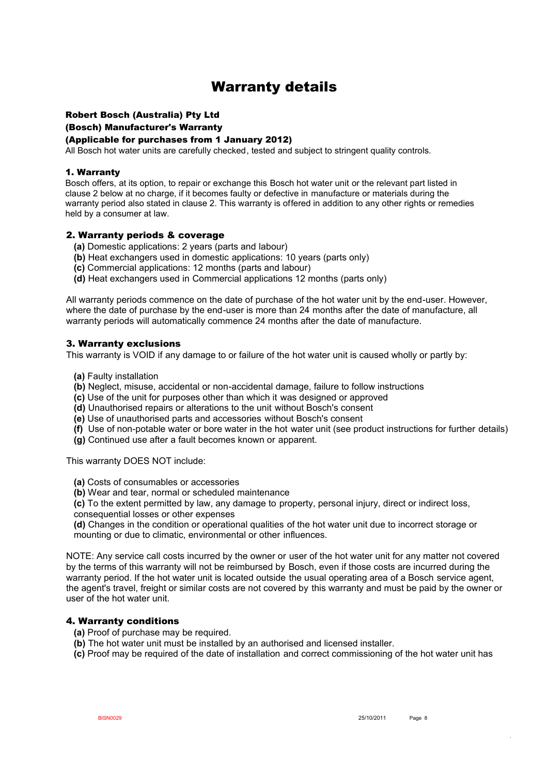# Warranty details

## Robert Bosch (Australia) Pty Ltd

(Bosch) Manufacturer's Warranty

### (Applicable for purchases from 1 January 2012)

All Bosch hot water units are carefully checked, tested and subject to stringent quality controls.

### 1. Warranty

Bosch offers, at its option, to repair or exchange this Bosch hot water unit or the relevant part listed in clause 2 below at no charge, if it becomes faulty or defective in manufacture or materials during the warranty period also stated in clause 2. This warranty is offered in addition to any other rights or remedies held by a consumer at law.

### 2. Warranty periods & coverage

- **(a)** Domestic applications: 2 years (parts and labour)
- **(b)** Heat exchangers used in domestic applications: 10 years (parts only)
- **(c)** Commercial applications: 12 months (parts and labour)
- **(d)** Heat exchangers used in Commercial applications 12 months (parts only)

All warranty periods commence on the date of purchase of the hot water unit by the end-user. However, where the date of purchase by the end-user is more than 24 months after the date of manufacture, all warranty periods will automatically commence 24 months after the date of manufacture.

### 3. Warranty exclusions

This warranty is VOID if any damage to or failure of the hot water unit is caused wholly or partly by:

- **(a)** Faulty installation
- **(b)** Neglect, misuse, accidental or non-accidental damage, failure to follow instructions
- **(c)** Use of the unit for purposes other than which it was designed or approved
- **(d)** Unauthorised repairs or alterations to the unit without Bosch's consent
- **(e)** Use of unauthorised parts and accessories without Bosch's consent
- **(f)** Use of non-potable water or bore water in the hot water unit (see product instructions for further details)
- **(g)** Continued use after a fault becomes known or apparent.

This warranty DOES NOT include:

- **(a)** Costs of consumables or accessories
- **(b)** Wear and tear, normal or scheduled maintenance

 **(c)** To the extent permitted by law, any damage to property, personal injury, direct or indirect loss, consequential losses or other expenses

 **(d)** Changes in the condition or operational qualities of the hot water unit due to incorrect storage or mounting or due to climatic, environmental or other influences.

NOTE: Any service call costs incurred by the owner or user of the hot water unit for any matter not covered by the terms of this warranty will not be reimbursed by Bosch, even if those costs are incurred during the warranty period. If the hot water unit is located outside the usual operating area of a Bosch service agent, the agent's travel, freight or similar costs are not covered by this warranty and must be paid by the owner or user of the hot water unit.

### 4. Warranty conditions

- **(a)** Proof of purchase may be required.
- **(b)** The hot water unit must be installed by an authorised and licensed installer.
- **(c)** Proof may be required of the date of installation and correct commissioning of the hot water unit has